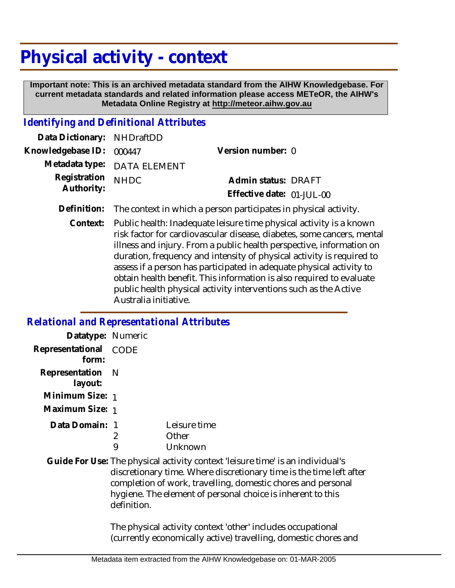# **Physical activity - context**

 **Important note: This is an archived metadata standard from the AIHW Knowledgebase. For current metadata standards and related information please access METeOR, the AIHW's Metadata Online Registry at http://meteor.aihw.gov.au**

#### *Identifying and Definitional Attributes*

| Data Dictionary: NHDraftDD      |                             |                           |  |
|---------------------------------|-----------------------------|---------------------------|--|
| Knowledgebase ID: 000447        |                             | Version number: 0         |  |
|                                 | Metadata type: DATA ELEMENT |                           |  |
| Registration NHDC<br>Authority: |                             | Admin status: DRAFT       |  |
|                                 |                             | Effective date: 01-JUL-00 |  |
|                                 |                             |                           |  |

**Definition:** The context in which a person participates in physical activity.

Public health: Inadequate leisure time physical activity is a known risk factor for cardiovascular disease, diabetes, some cancers, mental illness and injury. From a public health perspective, information on duration, frequency and intensity of physical activity is required to assess if a person has participated in adequate physical activity to obtain health benefit. This information is also required to evaluate public health physical activity interventions such as the Active Australia initiative. **Context:**

#### *Relational and Representational Attributes*

| Datatype: Numeric              |             |                                                                                                                                                                                                                                                                                      |
|--------------------------------|-------------|--------------------------------------------------------------------------------------------------------------------------------------------------------------------------------------------------------------------------------------------------------------------------------------|
| Representational CODE<br>form: |             |                                                                                                                                                                                                                                                                                      |
| Representation<br>layout:      | - N         |                                                                                                                                                                                                                                                                                      |
| Minimum Size: 1                |             |                                                                                                                                                                                                                                                                                      |
| Maximum Size: 1                |             |                                                                                                                                                                                                                                                                                      |
| Data Domain: 1                 | 2<br>9      | Leisure time<br>Other<br>Unknown                                                                                                                                                                                                                                                     |
|                                | definition. | Guide For Use: The physical activity context 'leisure time' is an individual's<br>discretionary time. Where discretionary time is the time left after<br>completion of work, travelling, domestic chores and personal<br>hygiene. The element of personal choice is inherent to this |
|                                |             | The physical activity context 'other' includes occupational                                                                                                                                                                                                                          |

(currently economically active) travelling, domestic chores and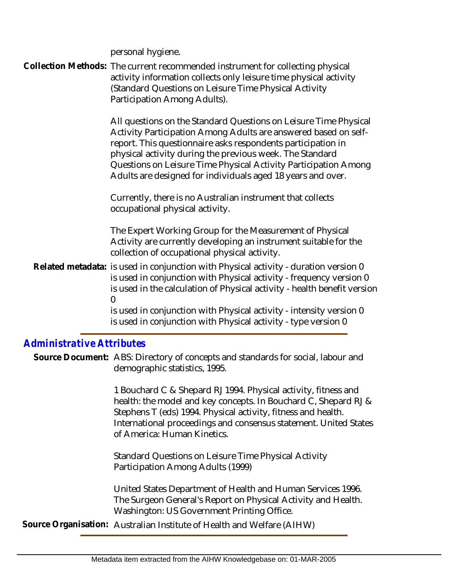personal hygiene.

Collection Methods: The current recommended instrument for collecting physical activity information collects only leisure time physical activity (Standard Questions on Leisure Time Physical Activity Participation Among Adults).

> All questions on the Standard Questions on Leisure Time Physical Activity Participation Among Adults are answered based on selfreport. This questionnaire asks respondents participation in physical activity during the previous week. The Standard Questions on Leisure Time Physical Activity Participation Among Adults are designed for individuals aged 18 years and over.

Currently, there is no Australian instrument that collects occupational physical activity.

The Expert Working Group for the Measurement of Physical Activity are currently developing an instrument suitable for the collection of occupational physical activity.

Related metadata: is used in conjunction with Physical activity - duration version 0 is used in conjunction with Physical activity - frequency version 0 is used in the calculation of Physical activity - health benefit version  $\Omega$ 

is used in conjunction with Physical activity - intensity version 0 is used in conjunction with Physical activity - type version 0

### *Administrative Attributes*

Source Document: ABS: Directory of concepts and standards for social, labour and demographic statistics, 1995.

> 1 Bouchard C & Shepard RJ 1994. Physical activity, fitness and health: the model and key concepts. In Bouchard C, Shepard RJ & Stephens T (eds) 1994. Physical activity, fitness and health. International proceedings and consensus statement. United States of America: Human Kinetics.

Standard Questions on Leisure Time Physical Activity Participation Among Adults (1999)

United States Department of Health and Human Services 1996. The Surgeon General's Report on Physical Activity and Health. Washington: US Government Printing Office.

**Source Organisation:** Australian Institute of Health and Welfare (AIHW)